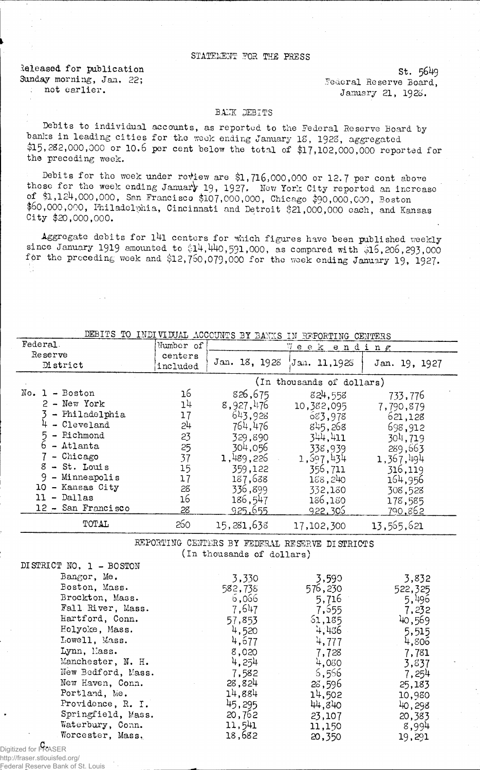## STATEMENT FOR THE PRESS

Released for publication Sunday morning, Jan. 22; not earlier.

St. 5649 Federal Reserve Board, January 21, 1923.

## BANK DEBITS

Debits to individual accounts, as reported to the Federal Reserve Board by hanks in leading cities for the week ending January IS, 1928, aggregated \$15,282,000,000 or 10.6 per cent below the total of \$17,102,000,000 reported for the preceding week.

Debits for the week under review are \$1,716,000,000 or 12.7 per cent above those for the week ending January 19, 1927. New York City reported an increase of \$1,124,000,000, San Francisco \$107,000,000, Chicago \$90,000,000, Boston \$60,000,000, Philadelphia, Cincinnati and Detroit &21,000,000 each, and Kansas City \$20,000,000.

Aggregate debits for l4l centers for which figures have been published weekly since January 1919 amounted to  $$14,440,591,000$ , as compared with  $$15,206,293,000$ for the preceding week and \$12,750,079,000 for the week ending January 19, 1927.

| DEBITS TO INDIVIDUAL ACCOUNTS BY BANKS IN REPORTING CENTERS |                           |               |              |               |
|-------------------------------------------------------------|---------------------------|---------------|--------------|---------------|
| Federal.                                                    | Number of                 |               | Week ending  |               |
| Reserve                                                     | centers                   |               |              |               |
| District                                                    | included                  | Jan. 18, 1928 | Jan. 11,1928 | Jan. 19, 1927 |
|                                                             | (In thousands of dollars) |               |              |               |
| $No. 1 - Boston$                                            | 16                        | 826,675       | 824,558      | 733,776       |
| 2 - New York                                                | 14                        | 8,927,476     | 10,382,095   | 7,790,879     |
| - Philadelphia                                              | 17                        | 643,928       | 683,978      | 621,128       |
| - Cleveland                                                 | 24                        | 764,476       | 845,268      | 698,912       |
| 5 - Richmond                                                | 23                        | 329,890       | 344.411      | 304,719       |
| - Atlanta                                                   | 25                        | 304,056       | 338,939      | 289,663       |
| - Chicago                                                   | 37                        | 1,489,226     | 1,597,434    | 1,367,494     |
| $8 - St.$ Louis                                             | 15                        | 359,122       | 356,711      | 316,119       |
| 9 - Minneapolis                                             | 17                        | 187,638       | 168,240      | 164,956       |
| 10 - Kansas City                                            | 28                        | 336,899       | 332,130      | 308,528       |
| - Dallas<br>11                                              | 16                        | 186,547       | 186,180      | 178,585       |
| 12 - San Francisco                                          | 28                        | 925,655       | 922,305      | 790.862       |
| TOTAL                                                       | 260                       | 15,281,638    | 17,102,300   | 13,565,621    |
| DU LODULUM                                                  |                           |               |              |               |

REPORTING CENTERS BY FEDERAL RESERVE DISTRICTS (In thousands of dollars)

| DISTRICT NO. 1 - BOSTON |         |         |         |
|-------------------------|---------|---------|---------|
| Bangor, Me.             | 3,330   | 3,590   | 3,832   |
| Boston, Mass.           | 582,738 | 576,230 | 522,325 |
| Brockton, Mass.         | 6,066   | 5,716   | 5,496   |
| Fall River, Mass.       | 7,647   | 7,555   | 7,232   |
| Hartford, Conn.         | 57,853  | 61,185  | 40,569  |
| Holyoke, Mass.          | 4,520   | 4,436   | 5,515   |
| Lowell, Mass.           | 4,677   | 4,777   | 4,806   |
| Lynn, Mass.             | 8,020   | 7,728   | 7,781   |
| Manchester, N. H.       | 4,254   | 4,080   | 3,837   |
| New Bedford, Mass.      | 7,582   | 6,556   | 7,254   |
| New Haven, Conn.        | 28,824  | 28,596  | 25,183  |
| Portland, Me.           | 14,884  | 14,502  | 10,980  |
| Providence, R. I.       | 45,295  | 44,840  | 40,298  |
| Springfield, Mass.      | 20,762  | 23,107  | 20,383  |
| Waterbury, Conn.        | 11,541  | 11,150  | 8,994   |
| Worcester, Mass.        | 18,682  | 20,350  | 19,291  |

C. Digitized for FRASER

http://fraser.stlouisfed.org/ Federal Reserve Bank of St. Louis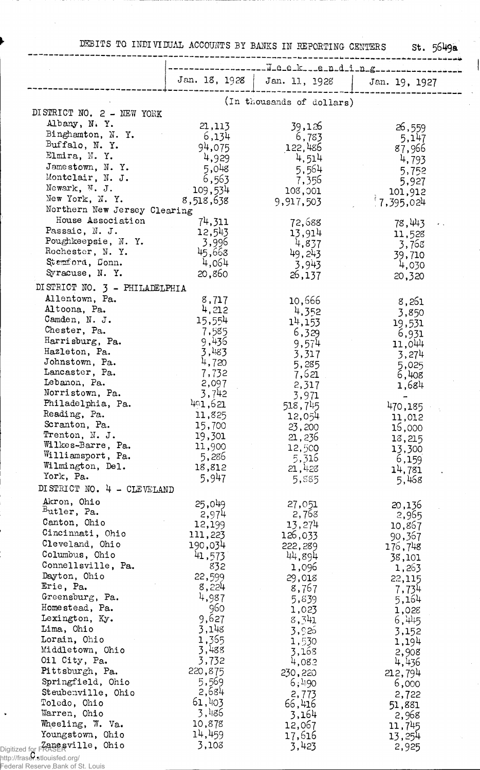DEBITS TO INDIVIDUAL ACCOUNTS BY BANKS IN REPORTING CENTERS St. 5649a

 $\begin{array}{c} \begin{array}{c} \begin{array}{c} \end{array} \end{array} \end{array}$ 

 $\ddot{\phantom{0}}$  $\mathcal{L}^{\mathcal{L}}$ 

 $\bar{\mathcal{A}}$ 

 $\bar{z}$ 

| Jan. 18, 1928  <br>Jan. 11, 1928<br>Jan. 19, 1927<br>(In thousands of dollars)<br>Albany, N.Y.<br>21,113<br>39,126<br>26,559<br>Binghamton, N.Y.<br>6,134<br>6,783<br>5,147<br>Buffalo, N. Y.<br>94,075<br>122,486<br>87,966<br>Elmira, N.Y.<br>4,929<br>4,514<br>4,793<br>Jamestown, N.Y.<br>5,048<br>5,564<br>5,752<br>Montclair, N. J.<br>6,563<br>7,356<br>5,927<br>Newark, N. J.<br>109,534<br>108,001<br>101,912<br>New York, N. Y.<br>8,518,638<br>1,395,024<br>9,917,503<br>Northern New Jersey Clearing<br>House Association<br>74,311<br>72,688<br>78,443<br>Passaic, N. J.<br>12,543<br>13,914<br>11,528<br>Poughkeepsie, N.Y.<br>3,996<br>4,837<br>3,768<br>Rochester, N. Y.<br>45,668<br>49,243<br>39,710<br>4,064<br>Stemford, Conn.<br>3,943<br>4,030<br>Syracuse, N.Y.<br>20,860<br>26,137<br>20,320<br>DI STRICT NO. 3 - PHILADELPHIA<br>Allentown, Pa.<br>8,717<br>10,666<br>8,261<br>Altoona, Pa.<br>4,212<br>4,352<br>3,850<br>Camden, N. J.<br>15,554<br>14,153<br>19,531<br>Chester, Pa.<br>7,585<br>6,329<br>6,931<br>Harrisburg, Pa.<br>9,436<br>9,574<br>11,044<br>Hazleton, Pa.<br>3,483<br>3,317<br>3,274<br>Johnstown, Pa.<br>4,720<br>5,285<br>5,025<br>Lancaster, Pa.<br>7,732<br>7,621<br>6,408<br>Lebanon, Pa.<br>2,097<br>2,317<br>1,684<br>Norristown, Pa.<br>3,742<br>3,971<br>Philadelphia, Pa.<br>401,621<br>518,745<br>470,185<br>Reading, Pa.<br>11,825<br>12,054<br>11,012<br>Scranton, Pa.<br>15,700<br>23,200<br>15,000<br>Trenton, N. J.<br>19,301<br>21, 236<br>18,215<br>Wilkes-Barre, Pa.<br>11,900<br>12,500<br>13,300<br>Williamsport, Pa.<br>5,286<br>5,316<br>6,159<br>Wilmington, Del.<br>18,812<br>21,428<br>14,781<br>York, Pa.<br>5,947<br>5,885<br>5,468<br>DISTRICT NO. 4 - CLEVELAND<br>Akron, Ohio<br>25,049<br>27,051<br>20,136<br>$Butter, Pa.$<br>2,974<br>2,768<br>2,965<br>Canton, Ohio<br>12,199<br>13,274<br>10,867<br>Cincinnati, Ohio<br>111,223<br>126,033<br>90,367<br>Cleveland, Ohio<br>190,034<br>222,289<br>176,748<br>Columbus, Ohio<br>41,573<br>44,894<br>38,101<br>Connellsville, Pa.<br>832<br>1,096<br>1,263<br>Dayton, Ohio<br>22,599<br>29,018<br>22,115<br>Erie, Pa.<br>8,224<br>8,767<br>7,734<br>Greensburg, Pa.<br>4,987<br>5,839<br>5,164<br>960<br>Homestead, Pa.<br>1,023<br>1,028<br>Lexington, Ky.<br>9,627<br>8,341<br>6,445<br>3,148<br>Lima, Ohio<br>3,926<br>3,152<br>1,365<br>Lorain, Ohio<br>1,530<br>1,194<br>3,488<br>Middletown, Ohio<br>3,168<br>2,908<br>Oil City, Pa.<br>3,732<br>4,082<br>4,436<br>Pittsburgh, Pa.<br>220,875<br>230,220<br>212,794<br>Springfield, Ohio<br>5,569<br>6;490<br>6,000<br>2,684<br>Steubenville, Ohio<br>2,773<br>2,722<br>61,403<br>Toledo, Ohio<br>66,416<br>51,881<br>3,486<br>Warren, Ohio<br>3,164<br>2,968 |                                 | ------W-0-0-k---0-n-d-i-n-g------------------ |  |
|------------------------------------------------------------------------------------------------------------------------------------------------------------------------------------------------------------------------------------------------------------------------------------------------------------------------------------------------------------------------------------------------------------------------------------------------------------------------------------------------------------------------------------------------------------------------------------------------------------------------------------------------------------------------------------------------------------------------------------------------------------------------------------------------------------------------------------------------------------------------------------------------------------------------------------------------------------------------------------------------------------------------------------------------------------------------------------------------------------------------------------------------------------------------------------------------------------------------------------------------------------------------------------------------------------------------------------------------------------------------------------------------------------------------------------------------------------------------------------------------------------------------------------------------------------------------------------------------------------------------------------------------------------------------------------------------------------------------------------------------------------------------------------------------------------------------------------------------------------------------------------------------------------------------------------------------------------------------------------------------------------------------------------------------------------------------------------------------------------------------------------------------------------------------------------------------------------------------------------------------------------------------------------------------------------------------------------------------------------------------------------------------------------------------------------------------------------------------------------------------------------------------------------------------------------------------------------------------------------------------------------------------------------------------------------------------------------------------------------------------------|---------------------------------|-----------------------------------------------|--|
|                                                                                                                                                                                                                                                                                                                                                                                                                                                                                                                                                                                                                                                                                                                                                                                                                                                                                                                                                                                                                                                                                                                                                                                                                                                                                                                                                                                                                                                                                                                                                                                                                                                                                                                                                                                                                                                                                                                                                                                                                                                                                                                                                                                                                                                                                                                                                                                                                                                                                                                                                                                                                                                                                                                                                      |                                 |                                               |  |
|                                                                                                                                                                                                                                                                                                                                                                                                                                                                                                                                                                                                                                                                                                                                                                                                                                                                                                                                                                                                                                                                                                                                                                                                                                                                                                                                                                                                                                                                                                                                                                                                                                                                                                                                                                                                                                                                                                                                                                                                                                                                                                                                                                                                                                                                                                                                                                                                                                                                                                                                                                                                                                                                                                                                                      |                                 |                                               |  |
|                                                                                                                                                                                                                                                                                                                                                                                                                                                                                                                                                                                                                                                                                                                                                                                                                                                                                                                                                                                                                                                                                                                                                                                                                                                                                                                                                                                                                                                                                                                                                                                                                                                                                                                                                                                                                                                                                                                                                                                                                                                                                                                                                                                                                                                                                                                                                                                                                                                                                                                                                                                                                                                                                                                                                      | DISTRICT NO. 2 - NEW YORK       |                                               |  |
|                                                                                                                                                                                                                                                                                                                                                                                                                                                                                                                                                                                                                                                                                                                                                                                                                                                                                                                                                                                                                                                                                                                                                                                                                                                                                                                                                                                                                                                                                                                                                                                                                                                                                                                                                                                                                                                                                                                                                                                                                                                                                                                                                                                                                                                                                                                                                                                                                                                                                                                                                                                                                                                                                                                                                      |                                 |                                               |  |
|                                                                                                                                                                                                                                                                                                                                                                                                                                                                                                                                                                                                                                                                                                                                                                                                                                                                                                                                                                                                                                                                                                                                                                                                                                                                                                                                                                                                                                                                                                                                                                                                                                                                                                                                                                                                                                                                                                                                                                                                                                                                                                                                                                                                                                                                                                                                                                                                                                                                                                                                                                                                                                                                                                                                                      |                                 |                                               |  |
|                                                                                                                                                                                                                                                                                                                                                                                                                                                                                                                                                                                                                                                                                                                                                                                                                                                                                                                                                                                                                                                                                                                                                                                                                                                                                                                                                                                                                                                                                                                                                                                                                                                                                                                                                                                                                                                                                                                                                                                                                                                                                                                                                                                                                                                                                                                                                                                                                                                                                                                                                                                                                                                                                                                                                      |                                 |                                               |  |
|                                                                                                                                                                                                                                                                                                                                                                                                                                                                                                                                                                                                                                                                                                                                                                                                                                                                                                                                                                                                                                                                                                                                                                                                                                                                                                                                                                                                                                                                                                                                                                                                                                                                                                                                                                                                                                                                                                                                                                                                                                                                                                                                                                                                                                                                                                                                                                                                                                                                                                                                                                                                                                                                                                                                                      |                                 |                                               |  |
|                                                                                                                                                                                                                                                                                                                                                                                                                                                                                                                                                                                                                                                                                                                                                                                                                                                                                                                                                                                                                                                                                                                                                                                                                                                                                                                                                                                                                                                                                                                                                                                                                                                                                                                                                                                                                                                                                                                                                                                                                                                                                                                                                                                                                                                                                                                                                                                                                                                                                                                                                                                                                                                                                                                                                      |                                 |                                               |  |
|                                                                                                                                                                                                                                                                                                                                                                                                                                                                                                                                                                                                                                                                                                                                                                                                                                                                                                                                                                                                                                                                                                                                                                                                                                                                                                                                                                                                                                                                                                                                                                                                                                                                                                                                                                                                                                                                                                                                                                                                                                                                                                                                                                                                                                                                                                                                                                                                                                                                                                                                                                                                                                                                                                                                                      |                                 |                                               |  |
|                                                                                                                                                                                                                                                                                                                                                                                                                                                                                                                                                                                                                                                                                                                                                                                                                                                                                                                                                                                                                                                                                                                                                                                                                                                                                                                                                                                                                                                                                                                                                                                                                                                                                                                                                                                                                                                                                                                                                                                                                                                                                                                                                                                                                                                                                                                                                                                                                                                                                                                                                                                                                                                                                                                                                      |                                 |                                               |  |
|                                                                                                                                                                                                                                                                                                                                                                                                                                                                                                                                                                                                                                                                                                                                                                                                                                                                                                                                                                                                                                                                                                                                                                                                                                                                                                                                                                                                                                                                                                                                                                                                                                                                                                                                                                                                                                                                                                                                                                                                                                                                                                                                                                                                                                                                                                                                                                                                                                                                                                                                                                                                                                                                                                                                                      |                                 |                                               |  |
|                                                                                                                                                                                                                                                                                                                                                                                                                                                                                                                                                                                                                                                                                                                                                                                                                                                                                                                                                                                                                                                                                                                                                                                                                                                                                                                                                                                                                                                                                                                                                                                                                                                                                                                                                                                                                                                                                                                                                                                                                                                                                                                                                                                                                                                                                                                                                                                                                                                                                                                                                                                                                                                                                                                                                      |                                 |                                               |  |
|                                                                                                                                                                                                                                                                                                                                                                                                                                                                                                                                                                                                                                                                                                                                                                                                                                                                                                                                                                                                                                                                                                                                                                                                                                                                                                                                                                                                                                                                                                                                                                                                                                                                                                                                                                                                                                                                                                                                                                                                                                                                                                                                                                                                                                                                                                                                                                                                                                                                                                                                                                                                                                                                                                                                                      |                                 |                                               |  |
|                                                                                                                                                                                                                                                                                                                                                                                                                                                                                                                                                                                                                                                                                                                                                                                                                                                                                                                                                                                                                                                                                                                                                                                                                                                                                                                                                                                                                                                                                                                                                                                                                                                                                                                                                                                                                                                                                                                                                                                                                                                                                                                                                                                                                                                                                                                                                                                                                                                                                                                                                                                                                                                                                                                                                      |                                 |                                               |  |
|                                                                                                                                                                                                                                                                                                                                                                                                                                                                                                                                                                                                                                                                                                                                                                                                                                                                                                                                                                                                                                                                                                                                                                                                                                                                                                                                                                                                                                                                                                                                                                                                                                                                                                                                                                                                                                                                                                                                                                                                                                                                                                                                                                                                                                                                                                                                                                                                                                                                                                                                                                                                                                                                                                                                                      |                                 |                                               |  |
|                                                                                                                                                                                                                                                                                                                                                                                                                                                                                                                                                                                                                                                                                                                                                                                                                                                                                                                                                                                                                                                                                                                                                                                                                                                                                                                                                                                                                                                                                                                                                                                                                                                                                                                                                                                                                                                                                                                                                                                                                                                                                                                                                                                                                                                                                                                                                                                                                                                                                                                                                                                                                                                                                                                                                      |                                 |                                               |  |
|                                                                                                                                                                                                                                                                                                                                                                                                                                                                                                                                                                                                                                                                                                                                                                                                                                                                                                                                                                                                                                                                                                                                                                                                                                                                                                                                                                                                                                                                                                                                                                                                                                                                                                                                                                                                                                                                                                                                                                                                                                                                                                                                                                                                                                                                                                                                                                                                                                                                                                                                                                                                                                                                                                                                                      |                                 |                                               |  |
|                                                                                                                                                                                                                                                                                                                                                                                                                                                                                                                                                                                                                                                                                                                                                                                                                                                                                                                                                                                                                                                                                                                                                                                                                                                                                                                                                                                                                                                                                                                                                                                                                                                                                                                                                                                                                                                                                                                                                                                                                                                                                                                                                                                                                                                                                                                                                                                                                                                                                                                                                                                                                                                                                                                                                      |                                 |                                               |  |
|                                                                                                                                                                                                                                                                                                                                                                                                                                                                                                                                                                                                                                                                                                                                                                                                                                                                                                                                                                                                                                                                                                                                                                                                                                                                                                                                                                                                                                                                                                                                                                                                                                                                                                                                                                                                                                                                                                                                                                                                                                                                                                                                                                                                                                                                                                                                                                                                                                                                                                                                                                                                                                                                                                                                                      |                                 |                                               |  |
|                                                                                                                                                                                                                                                                                                                                                                                                                                                                                                                                                                                                                                                                                                                                                                                                                                                                                                                                                                                                                                                                                                                                                                                                                                                                                                                                                                                                                                                                                                                                                                                                                                                                                                                                                                                                                                                                                                                                                                                                                                                                                                                                                                                                                                                                                                                                                                                                                                                                                                                                                                                                                                                                                                                                                      |                                 |                                               |  |
|                                                                                                                                                                                                                                                                                                                                                                                                                                                                                                                                                                                                                                                                                                                                                                                                                                                                                                                                                                                                                                                                                                                                                                                                                                                                                                                                                                                                                                                                                                                                                                                                                                                                                                                                                                                                                                                                                                                                                                                                                                                                                                                                                                                                                                                                                                                                                                                                                                                                                                                                                                                                                                                                                                                                                      |                                 |                                               |  |
|                                                                                                                                                                                                                                                                                                                                                                                                                                                                                                                                                                                                                                                                                                                                                                                                                                                                                                                                                                                                                                                                                                                                                                                                                                                                                                                                                                                                                                                                                                                                                                                                                                                                                                                                                                                                                                                                                                                                                                                                                                                                                                                                                                                                                                                                                                                                                                                                                                                                                                                                                                                                                                                                                                                                                      |                                 |                                               |  |
|                                                                                                                                                                                                                                                                                                                                                                                                                                                                                                                                                                                                                                                                                                                                                                                                                                                                                                                                                                                                                                                                                                                                                                                                                                                                                                                                                                                                                                                                                                                                                                                                                                                                                                                                                                                                                                                                                                                                                                                                                                                                                                                                                                                                                                                                                                                                                                                                                                                                                                                                                                                                                                                                                                                                                      |                                 |                                               |  |
|                                                                                                                                                                                                                                                                                                                                                                                                                                                                                                                                                                                                                                                                                                                                                                                                                                                                                                                                                                                                                                                                                                                                                                                                                                                                                                                                                                                                                                                                                                                                                                                                                                                                                                                                                                                                                                                                                                                                                                                                                                                                                                                                                                                                                                                                                                                                                                                                                                                                                                                                                                                                                                                                                                                                                      |                                 |                                               |  |
|                                                                                                                                                                                                                                                                                                                                                                                                                                                                                                                                                                                                                                                                                                                                                                                                                                                                                                                                                                                                                                                                                                                                                                                                                                                                                                                                                                                                                                                                                                                                                                                                                                                                                                                                                                                                                                                                                                                                                                                                                                                                                                                                                                                                                                                                                                                                                                                                                                                                                                                                                                                                                                                                                                                                                      |                                 |                                               |  |
|                                                                                                                                                                                                                                                                                                                                                                                                                                                                                                                                                                                                                                                                                                                                                                                                                                                                                                                                                                                                                                                                                                                                                                                                                                                                                                                                                                                                                                                                                                                                                                                                                                                                                                                                                                                                                                                                                                                                                                                                                                                                                                                                                                                                                                                                                                                                                                                                                                                                                                                                                                                                                                                                                                                                                      |                                 |                                               |  |
|                                                                                                                                                                                                                                                                                                                                                                                                                                                                                                                                                                                                                                                                                                                                                                                                                                                                                                                                                                                                                                                                                                                                                                                                                                                                                                                                                                                                                                                                                                                                                                                                                                                                                                                                                                                                                                                                                                                                                                                                                                                                                                                                                                                                                                                                                                                                                                                                                                                                                                                                                                                                                                                                                                                                                      |                                 |                                               |  |
|                                                                                                                                                                                                                                                                                                                                                                                                                                                                                                                                                                                                                                                                                                                                                                                                                                                                                                                                                                                                                                                                                                                                                                                                                                                                                                                                                                                                                                                                                                                                                                                                                                                                                                                                                                                                                                                                                                                                                                                                                                                                                                                                                                                                                                                                                                                                                                                                                                                                                                                                                                                                                                                                                                                                                      |                                 |                                               |  |
|                                                                                                                                                                                                                                                                                                                                                                                                                                                                                                                                                                                                                                                                                                                                                                                                                                                                                                                                                                                                                                                                                                                                                                                                                                                                                                                                                                                                                                                                                                                                                                                                                                                                                                                                                                                                                                                                                                                                                                                                                                                                                                                                                                                                                                                                                                                                                                                                                                                                                                                                                                                                                                                                                                                                                      |                                 |                                               |  |
|                                                                                                                                                                                                                                                                                                                                                                                                                                                                                                                                                                                                                                                                                                                                                                                                                                                                                                                                                                                                                                                                                                                                                                                                                                                                                                                                                                                                                                                                                                                                                                                                                                                                                                                                                                                                                                                                                                                                                                                                                                                                                                                                                                                                                                                                                                                                                                                                                                                                                                                                                                                                                                                                                                                                                      |                                 |                                               |  |
|                                                                                                                                                                                                                                                                                                                                                                                                                                                                                                                                                                                                                                                                                                                                                                                                                                                                                                                                                                                                                                                                                                                                                                                                                                                                                                                                                                                                                                                                                                                                                                                                                                                                                                                                                                                                                                                                                                                                                                                                                                                                                                                                                                                                                                                                                                                                                                                                                                                                                                                                                                                                                                                                                                                                                      |                                 |                                               |  |
|                                                                                                                                                                                                                                                                                                                                                                                                                                                                                                                                                                                                                                                                                                                                                                                                                                                                                                                                                                                                                                                                                                                                                                                                                                                                                                                                                                                                                                                                                                                                                                                                                                                                                                                                                                                                                                                                                                                                                                                                                                                                                                                                                                                                                                                                                                                                                                                                                                                                                                                                                                                                                                                                                                                                                      |                                 |                                               |  |
|                                                                                                                                                                                                                                                                                                                                                                                                                                                                                                                                                                                                                                                                                                                                                                                                                                                                                                                                                                                                                                                                                                                                                                                                                                                                                                                                                                                                                                                                                                                                                                                                                                                                                                                                                                                                                                                                                                                                                                                                                                                                                                                                                                                                                                                                                                                                                                                                                                                                                                                                                                                                                                                                                                                                                      |                                 |                                               |  |
|                                                                                                                                                                                                                                                                                                                                                                                                                                                                                                                                                                                                                                                                                                                                                                                                                                                                                                                                                                                                                                                                                                                                                                                                                                                                                                                                                                                                                                                                                                                                                                                                                                                                                                                                                                                                                                                                                                                                                                                                                                                                                                                                                                                                                                                                                                                                                                                                                                                                                                                                                                                                                                                                                                                                                      |                                 |                                               |  |
|                                                                                                                                                                                                                                                                                                                                                                                                                                                                                                                                                                                                                                                                                                                                                                                                                                                                                                                                                                                                                                                                                                                                                                                                                                                                                                                                                                                                                                                                                                                                                                                                                                                                                                                                                                                                                                                                                                                                                                                                                                                                                                                                                                                                                                                                                                                                                                                                                                                                                                                                                                                                                                                                                                                                                      |                                 |                                               |  |
|                                                                                                                                                                                                                                                                                                                                                                                                                                                                                                                                                                                                                                                                                                                                                                                                                                                                                                                                                                                                                                                                                                                                                                                                                                                                                                                                                                                                                                                                                                                                                                                                                                                                                                                                                                                                                                                                                                                                                                                                                                                                                                                                                                                                                                                                                                                                                                                                                                                                                                                                                                                                                                                                                                                                                      |                                 |                                               |  |
|                                                                                                                                                                                                                                                                                                                                                                                                                                                                                                                                                                                                                                                                                                                                                                                                                                                                                                                                                                                                                                                                                                                                                                                                                                                                                                                                                                                                                                                                                                                                                                                                                                                                                                                                                                                                                                                                                                                                                                                                                                                                                                                                                                                                                                                                                                                                                                                                                                                                                                                                                                                                                                                                                                                                                      |                                 |                                               |  |
|                                                                                                                                                                                                                                                                                                                                                                                                                                                                                                                                                                                                                                                                                                                                                                                                                                                                                                                                                                                                                                                                                                                                                                                                                                                                                                                                                                                                                                                                                                                                                                                                                                                                                                                                                                                                                                                                                                                                                                                                                                                                                                                                                                                                                                                                                                                                                                                                                                                                                                                                                                                                                                                                                                                                                      |                                 |                                               |  |
|                                                                                                                                                                                                                                                                                                                                                                                                                                                                                                                                                                                                                                                                                                                                                                                                                                                                                                                                                                                                                                                                                                                                                                                                                                                                                                                                                                                                                                                                                                                                                                                                                                                                                                                                                                                                                                                                                                                                                                                                                                                                                                                                                                                                                                                                                                                                                                                                                                                                                                                                                                                                                                                                                                                                                      |                                 |                                               |  |
|                                                                                                                                                                                                                                                                                                                                                                                                                                                                                                                                                                                                                                                                                                                                                                                                                                                                                                                                                                                                                                                                                                                                                                                                                                                                                                                                                                                                                                                                                                                                                                                                                                                                                                                                                                                                                                                                                                                                                                                                                                                                                                                                                                                                                                                                                                                                                                                                                                                                                                                                                                                                                                                                                                                                                      |                                 |                                               |  |
|                                                                                                                                                                                                                                                                                                                                                                                                                                                                                                                                                                                                                                                                                                                                                                                                                                                                                                                                                                                                                                                                                                                                                                                                                                                                                                                                                                                                                                                                                                                                                                                                                                                                                                                                                                                                                                                                                                                                                                                                                                                                                                                                                                                                                                                                                                                                                                                                                                                                                                                                                                                                                                                                                                                                                      |                                 |                                               |  |
|                                                                                                                                                                                                                                                                                                                                                                                                                                                                                                                                                                                                                                                                                                                                                                                                                                                                                                                                                                                                                                                                                                                                                                                                                                                                                                                                                                                                                                                                                                                                                                                                                                                                                                                                                                                                                                                                                                                                                                                                                                                                                                                                                                                                                                                                                                                                                                                                                                                                                                                                                                                                                                                                                                                                                      |                                 |                                               |  |
|                                                                                                                                                                                                                                                                                                                                                                                                                                                                                                                                                                                                                                                                                                                                                                                                                                                                                                                                                                                                                                                                                                                                                                                                                                                                                                                                                                                                                                                                                                                                                                                                                                                                                                                                                                                                                                                                                                                                                                                                                                                                                                                                                                                                                                                                                                                                                                                                                                                                                                                                                                                                                                                                                                                                                      |                                 |                                               |  |
|                                                                                                                                                                                                                                                                                                                                                                                                                                                                                                                                                                                                                                                                                                                                                                                                                                                                                                                                                                                                                                                                                                                                                                                                                                                                                                                                                                                                                                                                                                                                                                                                                                                                                                                                                                                                                                                                                                                                                                                                                                                                                                                                                                                                                                                                                                                                                                                                                                                                                                                                                                                                                                                                                                                                                      |                                 |                                               |  |
|                                                                                                                                                                                                                                                                                                                                                                                                                                                                                                                                                                                                                                                                                                                                                                                                                                                                                                                                                                                                                                                                                                                                                                                                                                                                                                                                                                                                                                                                                                                                                                                                                                                                                                                                                                                                                                                                                                                                                                                                                                                                                                                                                                                                                                                                                                                                                                                                                                                                                                                                                                                                                                                                                                                                                      |                                 |                                               |  |
|                                                                                                                                                                                                                                                                                                                                                                                                                                                                                                                                                                                                                                                                                                                                                                                                                                                                                                                                                                                                                                                                                                                                                                                                                                                                                                                                                                                                                                                                                                                                                                                                                                                                                                                                                                                                                                                                                                                                                                                                                                                                                                                                                                                                                                                                                                                                                                                                                                                                                                                                                                                                                                                                                                                                                      |                                 |                                               |  |
|                                                                                                                                                                                                                                                                                                                                                                                                                                                                                                                                                                                                                                                                                                                                                                                                                                                                                                                                                                                                                                                                                                                                                                                                                                                                                                                                                                                                                                                                                                                                                                                                                                                                                                                                                                                                                                                                                                                                                                                                                                                                                                                                                                                                                                                                                                                                                                                                                                                                                                                                                                                                                                                                                                                                                      |                                 |                                               |  |
|                                                                                                                                                                                                                                                                                                                                                                                                                                                                                                                                                                                                                                                                                                                                                                                                                                                                                                                                                                                                                                                                                                                                                                                                                                                                                                                                                                                                                                                                                                                                                                                                                                                                                                                                                                                                                                                                                                                                                                                                                                                                                                                                                                                                                                                                                                                                                                                                                                                                                                                                                                                                                                                                                                                                                      |                                 |                                               |  |
|                                                                                                                                                                                                                                                                                                                                                                                                                                                                                                                                                                                                                                                                                                                                                                                                                                                                                                                                                                                                                                                                                                                                                                                                                                                                                                                                                                                                                                                                                                                                                                                                                                                                                                                                                                                                                                                                                                                                                                                                                                                                                                                                                                                                                                                                                                                                                                                                                                                                                                                                                                                                                                                                                                                                                      |                                 |                                               |  |
|                                                                                                                                                                                                                                                                                                                                                                                                                                                                                                                                                                                                                                                                                                                                                                                                                                                                                                                                                                                                                                                                                                                                                                                                                                                                                                                                                                                                                                                                                                                                                                                                                                                                                                                                                                                                                                                                                                                                                                                                                                                                                                                                                                                                                                                                                                                                                                                                                                                                                                                                                                                                                                                                                                                                                      |                                 |                                               |  |
|                                                                                                                                                                                                                                                                                                                                                                                                                                                                                                                                                                                                                                                                                                                                                                                                                                                                                                                                                                                                                                                                                                                                                                                                                                                                                                                                                                                                                                                                                                                                                                                                                                                                                                                                                                                                                                                                                                                                                                                                                                                                                                                                                                                                                                                                                                                                                                                                                                                                                                                                                                                                                                                                                                                                                      |                                 |                                               |  |
|                                                                                                                                                                                                                                                                                                                                                                                                                                                                                                                                                                                                                                                                                                                                                                                                                                                                                                                                                                                                                                                                                                                                                                                                                                                                                                                                                                                                                                                                                                                                                                                                                                                                                                                                                                                                                                                                                                                                                                                                                                                                                                                                                                                                                                                                                                                                                                                                                                                                                                                                                                                                                                                                                                                                                      |                                 |                                               |  |
|                                                                                                                                                                                                                                                                                                                                                                                                                                                                                                                                                                                                                                                                                                                                                                                                                                                                                                                                                                                                                                                                                                                                                                                                                                                                                                                                                                                                                                                                                                                                                                                                                                                                                                                                                                                                                                                                                                                                                                                                                                                                                                                                                                                                                                                                                                                                                                                                                                                                                                                                                                                                                                                                                                                                                      |                                 |                                               |  |
|                                                                                                                                                                                                                                                                                                                                                                                                                                                                                                                                                                                                                                                                                                                                                                                                                                                                                                                                                                                                                                                                                                                                                                                                                                                                                                                                                                                                                                                                                                                                                                                                                                                                                                                                                                                                                                                                                                                                                                                                                                                                                                                                                                                                                                                                                                                                                                                                                                                                                                                                                                                                                                                                                                                                                      |                                 |                                               |  |
|                                                                                                                                                                                                                                                                                                                                                                                                                                                                                                                                                                                                                                                                                                                                                                                                                                                                                                                                                                                                                                                                                                                                                                                                                                                                                                                                                                                                                                                                                                                                                                                                                                                                                                                                                                                                                                                                                                                                                                                                                                                                                                                                                                                                                                                                                                                                                                                                                                                                                                                                                                                                                                                                                                                                                      |                                 |                                               |  |
|                                                                                                                                                                                                                                                                                                                                                                                                                                                                                                                                                                                                                                                                                                                                                                                                                                                                                                                                                                                                                                                                                                                                                                                                                                                                                                                                                                                                                                                                                                                                                                                                                                                                                                                                                                                                                                                                                                                                                                                                                                                                                                                                                                                                                                                                                                                                                                                                                                                                                                                                                                                                                                                                                                                                                      |                                 |                                               |  |
|                                                                                                                                                                                                                                                                                                                                                                                                                                                                                                                                                                                                                                                                                                                                                                                                                                                                                                                                                                                                                                                                                                                                                                                                                                                                                                                                                                                                                                                                                                                                                                                                                                                                                                                                                                                                                                                                                                                                                                                                                                                                                                                                                                                                                                                                                                                                                                                                                                                                                                                                                                                                                                                                                                                                                      |                                 |                                               |  |
|                                                                                                                                                                                                                                                                                                                                                                                                                                                                                                                                                                                                                                                                                                                                                                                                                                                                                                                                                                                                                                                                                                                                                                                                                                                                                                                                                                                                                                                                                                                                                                                                                                                                                                                                                                                                                                                                                                                                                                                                                                                                                                                                                                                                                                                                                                                                                                                                                                                                                                                                                                                                                                                                                                                                                      |                                 |                                               |  |
|                                                                                                                                                                                                                                                                                                                                                                                                                                                                                                                                                                                                                                                                                                                                                                                                                                                                                                                                                                                                                                                                                                                                                                                                                                                                                                                                                                                                                                                                                                                                                                                                                                                                                                                                                                                                                                                                                                                                                                                                                                                                                                                                                                                                                                                                                                                                                                                                                                                                                                                                                                                                                                                                                                                                                      |                                 |                                               |  |
|                                                                                                                                                                                                                                                                                                                                                                                                                                                                                                                                                                                                                                                                                                                                                                                                                                                                                                                                                                                                                                                                                                                                                                                                                                                                                                                                                                                                                                                                                                                                                                                                                                                                                                                                                                                                                                                                                                                                                                                                                                                                                                                                                                                                                                                                                                                                                                                                                                                                                                                                                                                                                                                                                                                                                      |                                 |                                               |  |
| 10,878<br>12,067<br>11,745                                                                                                                                                                                                                                                                                                                                                                                                                                                                                                                                                                                                                                                                                                                                                                                                                                                                                                                                                                                                                                                                                                                                                                                                                                                                                                                                                                                                                                                                                                                                                                                                                                                                                                                                                                                                                                                                                                                                                                                                                                                                                                                                                                                                                                                                                                                                                                                                                                                                                                                                                                                                                                                                                                                           | Wheeling, W. Va.                |                                               |  |
| 14,459<br>17,616<br>13,254                                                                                                                                                                                                                                                                                                                                                                                                                                                                                                                                                                                                                                                                                                                                                                                                                                                                                                                                                                                                                                                                                                                                                                                                                                                                                                                                                                                                                                                                                                                                                                                                                                                                                                                                                                                                                                                                                                                                                                                                                                                                                                                                                                                                                                                                                                                                                                                                                                                                                                                                                                                                                                                                                                                           | Youngstown, Ohio                |                                               |  |
| 3,103<br>3,423<br>2,925                                                                                                                                                                                                                                                                                                                                                                                                                                                                                                                                                                                                                                                                                                                                                                                                                                                                                                                                                                                                                                                                                                                                                                                                                                                                                                                                                                                                                                                                                                                                                                                                                                                                                                                                                                                                                                                                                                                                                                                                                                                                                                                                                                                                                                                                                                                                                                                                                                                                                                                                                                                                                                                                                                                              | Digitized for FRASERVille, Ohio |                                               |  |

http://fraser.stlouisfed.org/ Federal Reserve Bank of St. Louis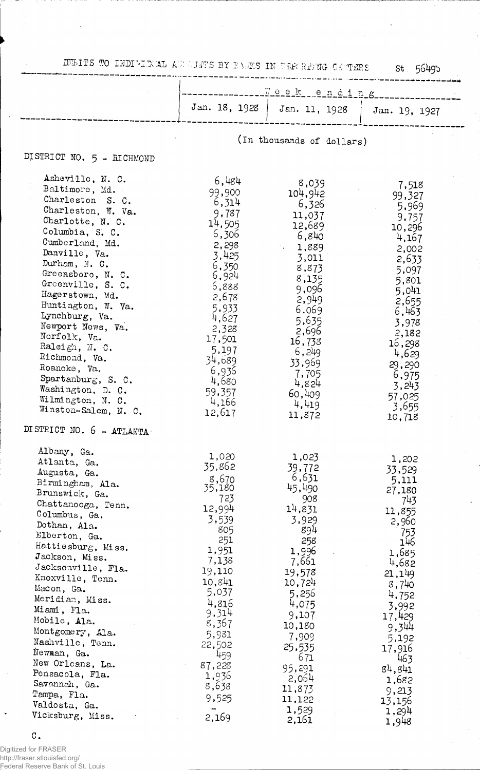MBITS TO INDIVIDUAL AW UNT'S BY FARS IN TERRING CETERS st 5649b

|                                                                                                                                                                                                                                                                                                                                                                                                                                                                                           | Weekending                                                                                                                                                                                                                   |                                                                                                                                                                                                                                          |                                                                                                                                                                                                                                        |
|-------------------------------------------------------------------------------------------------------------------------------------------------------------------------------------------------------------------------------------------------------------------------------------------------------------------------------------------------------------------------------------------------------------------------------------------------------------------------------------------|------------------------------------------------------------------------------------------------------------------------------------------------------------------------------------------------------------------------------|------------------------------------------------------------------------------------------------------------------------------------------------------------------------------------------------------------------------------------------|----------------------------------------------------------------------------------------------------------------------------------------------------------------------------------------------------------------------------------------|
|                                                                                                                                                                                                                                                                                                                                                                                                                                                                                           | Jan. 18, 1928                                                                                                                                                                                                                |                                                                                                                                                                                                                                          | Jan. 11, 1928   Jan. 19, 1927                                                                                                                                                                                                          |
|                                                                                                                                                                                                                                                                                                                                                                                                                                                                                           |                                                                                                                                                                                                                              | (In thousands of dollars)                                                                                                                                                                                                                |                                                                                                                                                                                                                                        |
| DISTRICT NO. 5 - RICHMOND                                                                                                                                                                                                                                                                                                                                                                                                                                                                 |                                                                                                                                                                                                                              |                                                                                                                                                                                                                                          |                                                                                                                                                                                                                                        |
| Asheville, N. C.<br>Baltimore, Md.<br>Charleston S. C.<br>Charleston, W. Va.<br>Charlotte, N. C.<br>Columbia, S. C.<br>Cumberland, Md.<br>Danville, Va.<br>Durham, N. C.<br>Greensboro, N. C.<br>Greenville, S. C.<br>Hagerstown, Md.<br>Huntington, W. Va.<br>Lynchburg, Va.<br>Newport News, Va.<br>Norfolk, Va.<br>Raleigh, N. C.<br>Richmond, Va.<br>Roanoke, Va.<br>Spartanburg, S. C.<br>Washington, D. C.<br>Wilmington, N. C.<br>Winston-Salem, N. C.<br>DISTRICT NO. 6 - ATLANTA | 6,484<br>99,900<br>6,314<br>9,787<br>14,505<br>6,306<br>2,298<br>3,425<br>6,350<br>6,924<br>5,888<br>2,678<br>5,933<br>4,627<br>2,328<br>17,501<br>5,197<br>34,689<br>6,936<br>4,680<br>59,357<br>4,166<br>12,617            | 8,039<br>104,942<br>6,326<br>11,037<br>12,689<br>6,840<br>1,889<br>3,011<br>8,873<br>8,135<br>9,096<br>2,949<br>6,069<br>5,635<br>2,696<br>16,733<br>6,249<br>33,969<br>7,705<br>4,824<br>60,409<br>4,419<br>11,872                      | 7,518<br>99,327<br>5,969<br>9,757<br>10,296<br>4,167<br>2,002<br>2,633<br>5,097<br>5,801<br>5,041<br>2,655<br>6,463<br>3,978<br>2,182<br>16,298<br>4,629<br>29,290<br>6,975<br>3,243<br>57,025<br>3,655<br>10,718                      |
| Albany, Ga.<br>Atlanta, Ga.<br>Augusta, Ga.<br>Birmingham, Ala.<br>Brunswick, Ga.<br>Chattanooga, Tenn.<br>Columbus, Ga.<br>Dothan, Ala.<br>Elberton, Ga.<br>Hattiesburg, Miss.<br>Jackson, Miss.<br>Jacksonville, Fla.<br>Knoxville, Tenn.<br>Macon, Ga.<br>Meridian, Miss.<br>Miami, Fla.<br>Mobile, Ala.<br>Montgomery, Ala.<br>Nashville, Tenn.<br>Newman, Ga.<br>New Orleans, La.<br>Pensacola, Fla.<br>Savannah, Ga.<br>Tampa, Fla.<br>Valdosta, Ga.<br>Vicksburg, Miss.            | 1,020<br>35,862<br>8,670<br>35,180<br>723<br>12,994<br>3,539<br>805<br>251<br>1,951<br>7,138<br>19,110<br>10,841<br>5,037<br>4,816<br>9,314<br>8,367<br>5,981<br>22,502<br>459<br>87,223<br>1,936<br>8,638<br>9,525<br>2,169 | 1,023<br>39,772<br>6,631<br>45,490<br>908<br>14,831<br>3,929<br>894<br>258<br>1,996<br>7,661<br>19,578<br>10,724<br>5,256<br>4,075<br>9,107<br>10,180<br>7,909<br>25,535<br>671<br>95,291<br>2,054<br>11,873<br>11,122<br>1,529<br>2,161 | 1,202<br>33,529<br>5,111<br>27,180<br>743<br>11,855<br>2,960<br>753<br>146<br>1,685<br>4,682<br>21,149<br>8,740<br>4,752<br>3,992<br>17,429<br>9,344<br>5,192<br>17,916<br>463<br>84,841<br>1,682<br>9,213<br>13,156<br>1,294<br>1,948 |

c.

 $\ddot{\phantom{1}}$ 

Digitized for FRASER http://fraser.stlouisfed.org/ Federal Reserve Bank of St. Louis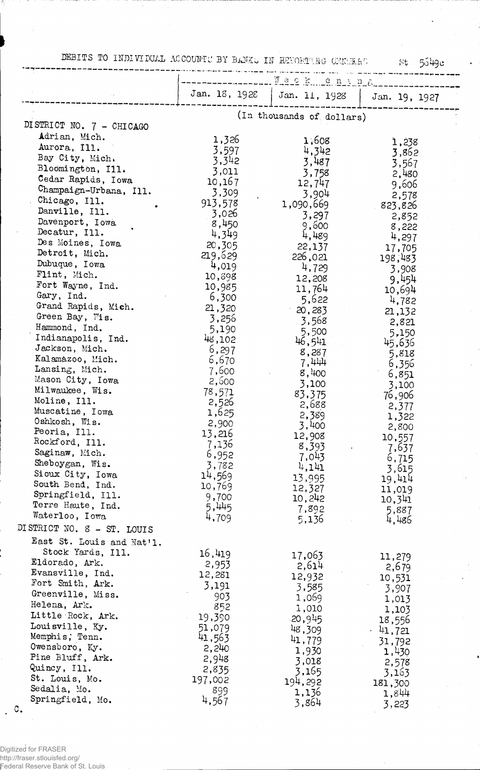DEBITS TO INDIVIDUAL ACCOUNTS BY BANK. IN REFORTING GENERAL

 $St = 5649c$ 

|                                      |               | . We ck cn in E           |                  |
|--------------------------------------|---------------|---------------------------|------------------|
|                                      | Jan. 18, 1928 | Jan. 11, 1928             | Jan. 19, 1927    |
|                                      |               | (In thousands of dollars) |                  |
| DISTRICT NO. 7 - CHICAGO             |               |                           |                  |
| Adrian, Mich.                        | 1,326         | 1,608                     | 1,238            |
| Aurora, Ill.                         | 3,597         | 4,342                     | 3,862            |
| Bay City, Mich.                      | 3,342         | 3,487                     | 3,567            |
| Bloomington, Ill.                    | 3,011         | 3,758                     | 2,480            |
| Cedar Rapids, Iowa                   | 10,167        | 12,747                    | 9,606            |
| Champaign-Urbana, Ill.               | 3,309         | 3,904                     | 2,578            |
| Chicago, Ill.                        | 913,578       | 1,090,669                 | 823,826          |
| Danville, Ill.                       | 3,026         | 3,297                     | 2,852            |
| Davenport, Iowa                      | 8,450         | 9,600                     | 8,222            |
| Decatur, Ill.                        | 4,349         | 4,489                     | 4,297            |
| Des Moines, Iowa                     | 20,305        | 22,137                    | 17,705           |
| Detroit, Mich.                       | 219,629       | 226,021                   | 198,483          |
| Dubuque, Iowa                        | 4,019         | 4,729                     | 3,908            |
| Flint, Mich.                         | 10,898        | 12,208                    | 9,454            |
| Fort Wayne, Ind.                     | 10,985        | 11,764                    | 10,694           |
| Gary, Ind.                           | 6,300         | 5,622                     | 4,782            |
| Grand Rapids, Mich.                  | 21,320        | 20,283                    | 21,132           |
| Green Bay, Wis.                      | 3,256         | 3,568                     | 2,821            |
| Hammond, Ind.                        | 5,190         | 5,500                     | 5,150            |
| Indianapolis, Ind.                   | 48,102        | 46,541                    | 45,636           |
| Jackson, Mich.                       | 6,297         | 8,287                     | 5,818            |
| Kalamazoo, Mich.                     | 6,670         | 7,444                     | 6,356            |
| Lansing, Mich.                       | 7,600         | 8,400                     | 6,851            |
| Mason City, Iowa                     | 2,500         | 3,100                     | 3,100            |
| Milwaukee, Wis.                      | 78,571        | 83,375                    | 76,906           |
| Moline, Ill.                         | 2,526         | 2,688                     | 2,377            |
| Muscatine, Iowa                      | 1,625         | 2,389                     | 1,322            |
| Oshkosh, Wis.                        | 2,900         | 3,400                     | 2,800            |
| Peoria, Ill.<br>Rockford, Ill.       | 13,216        | 12,908                    | 10,557           |
| Saginaw, Mich.                       | 7,136         | 8,393                     | 7,637            |
|                                      | 6,952         | 7,043                     | 6,715            |
| Sheboygan, Wis.                      | 3,782         | 4,141                     | 3,615            |
| Sioux City, Iowa<br>South Bend, Ind. | 14,569        | 13,995                    | 19,414           |
| Springfield, Ill.                    | 10,769        | 12,327                    | 11,019           |
| Terre Haute, Ind.                    | 9,700         | 10,242                    | 10,341           |
| Waterloo, Iowa                       | 5,445         | 7,892                     | 5,887            |
| DISTRICT NO. 8 - ST. LOUIS           | 4,709         | 5,136                     | 4,486            |
| East St. Louis and Nat'l.            |               |                           |                  |
| Stock Yards, Ill.                    | 16,419        |                           |                  |
| Eldorado, Ark.                       | 2,953         | 17,063                    | 11,279           |
| Evansville, Ind.                     | 12,281        | 2,614                     | 2,679            |
| Fort Smith, Ark.                     | 3,191         | 12,932                    | 10,531           |
| Greenville, Miss.                    | 903           | 3,585                     | 3,907            |
| Helena, Ark.                         | 852           | 1,069                     | 1,013            |
| Little Rock, Ark.                    | 19,390        | 1,010                     | 1,103            |
| Louisville, Ky.                      | 51,079        | .20,945<br>48,309         | 18,556           |
| Memphis; Tenn.                       | 41,563        | 41,779                    | $-41,721$        |
| Owensboro, Ky.                       | 2,240         |                           | 31,792           |
| Pine Bluff, Ark.                     | 2,948         | 1,930<br>3,018            | 1,430            |
| Quincy, Ill.                         | 2,835         | 3,165                     | 2,578            |
| St. Louis, Mo.                       | 197,002       | 194,292                   | 3,163            |
| Sedalia, Mo.                         | 899           | 1,136                     | 181,300<br>1,844 |
| Springfield, Mo.                     | 4,567         | 3,864                     |                  |
| $\mathbb{C}$ .                       |               |                           | 3,223            |
|                                      |               |                           |                  |

Digitized for FRASER<br>http://fraser.stlouisfed.org/<br>Federal Reserve Bank of St. Louis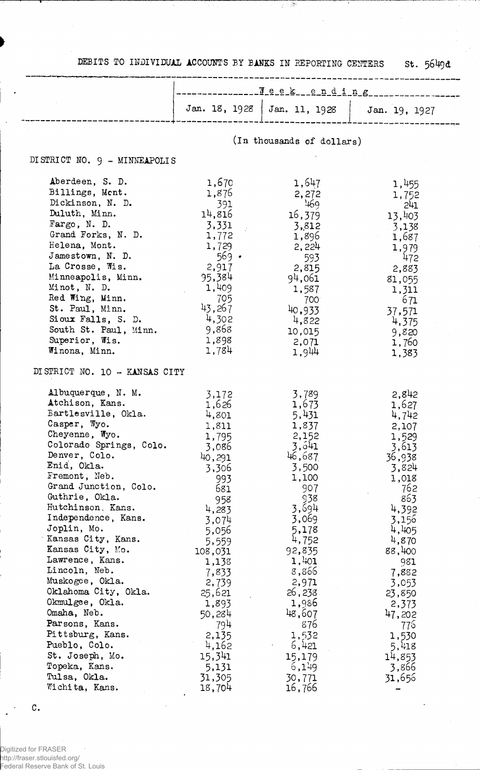DEBITS TO INDIVIDUAL ACCOUNTS BY BANKS IN REPORTING CENTERS St. 5649d

医白喉

|                                                                                                                                                                                                                                                                                                                                                                                                                                                                                                                                                                          | Yeek__ending                                                                                                                                                                                                                                                      |                                                                                                                                                                                                                                                                    |                                                                                                                                                                                                                                                        |  |
|--------------------------------------------------------------------------------------------------------------------------------------------------------------------------------------------------------------------------------------------------------------------------------------------------------------------------------------------------------------------------------------------------------------------------------------------------------------------------------------------------------------------------------------------------------------------------|-------------------------------------------------------------------------------------------------------------------------------------------------------------------------------------------------------------------------------------------------------------------|--------------------------------------------------------------------------------------------------------------------------------------------------------------------------------------------------------------------------------------------------------------------|--------------------------------------------------------------------------------------------------------------------------------------------------------------------------------------------------------------------------------------------------------|--|
|                                                                                                                                                                                                                                                                                                                                                                                                                                                                                                                                                                          | Jan. 18, 1928                                                                                                                                                                                                                                                     | Jan. 11, 1928                                                                                                                                                                                                                                                      | Jan. 19, 1927                                                                                                                                                                                                                                          |  |
|                                                                                                                                                                                                                                                                                                                                                                                                                                                                                                                                                                          |                                                                                                                                                                                                                                                                   | (In thousands of dollars)                                                                                                                                                                                                                                          |                                                                                                                                                                                                                                                        |  |
| DISTRICT NO. 9 - MINNEAPOLIS                                                                                                                                                                                                                                                                                                                                                                                                                                                                                                                                             |                                                                                                                                                                                                                                                                   |                                                                                                                                                                                                                                                                    |                                                                                                                                                                                                                                                        |  |
| Aberdeen, S. D.<br>Billings, Ment.<br>Dickinson, N. D.<br>Duluth, Minn.<br>Fargo, N. D.<br>Grand Forks, N. D.<br>Helena, Mont.<br>Jamestown, N. D.<br>La Crosse, Wis.<br>Minneapolis, Minn.<br>Minot, N. D.<br>Red Wing, Minn.<br>St. Paul, Minn.<br>Sioux Falls, S. D.<br>South St. Paul, Minn.<br>Superior, Wis.<br>Winona, Minn.                                                                                                                                                                                                                                      | 1,670<br>1,876<br>391<br>14,816<br>3,331<br>1,772<br>1,729<br>$569$ $\cdot$<br>2,917<br>95,384<br>1,409<br>705<br>43,267<br>4,302<br>9,868<br>1,898<br>1,784                                                                                                      | 1,647<br>2,272<br>469<br>16,379<br>3,812<br>1,896<br>2,224<br>593<br>2,815<br>94,061<br>1,587<br>700<br>40,933<br>4,822<br>10,015<br>2,071<br>1,944                                                                                                                | 1,455<br>1,752<br>241<br>13,403<br>3,138<br>1,687<br>1,979<br>472<br>2,883<br>81,055<br>1,311<br>671<br>37,571<br>4,375<br>9,820<br>1,760<br>1,383                                                                                                     |  |
| DISTRICT NO. 10 - KANSAS CITY                                                                                                                                                                                                                                                                                                                                                                                                                                                                                                                                            |                                                                                                                                                                                                                                                                   |                                                                                                                                                                                                                                                                    |                                                                                                                                                                                                                                                        |  |
| Albuquerque, N. M.<br>Atchison, Kans.<br>Bartlesville, Okla.<br>Casper, Wyo.<br>Cheyenne, Wyo.<br>Colorado Springs, Colo.<br>Denver, Colo.<br>Enid, Okla.<br>Fremont, Neb.<br>Grand Junction, Colo.<br>Guthrie, Okla.<br>Hutchinson, Kans.<br>Independence, Kans.<br>Joplin, Mo.<br>Kansas City, Kans.<br>Kansas City, Mo.<br>Lawrence, Kans.<br>Lincoln, Neb.<br>Muskogee, Okla.<br>Oklahoma City, Okla.<br>Okmulgee, Okla.<br>Omaha, Neb.<br>Parsons, Kans.<br>Pittsburg, Kans.<br>Pueblo, Colo.<br>St. Joseph, Mo.<br>Topeka, Kans.<br>Tulsa, Okla.<br>Wichita, Kans. | 3,172<br>1,626<br>4,801<br>1,811<br>1,795<br>3,086<br>40,291<br>3,306<br>993<br>681<br>958<br>4,283<br>3,074<br>5,056<br>5,559<br>108,031<br>1,138<br>7,833<br>2,739<br>25,621<br>1,893<br>50,284<br>794<br>2,135<br>4,162<br>15,341<br>5,131<br>31,305<br>18,704 | 3,789<br>1,673<br>5,431<br>1,837<br>2,152<br>3,641<br>46,687<br>3,500<br>1,100<br>907<br>938<br>3,694<br>3,069<br>5,178<br>4,752<br>92,835<br>1,401<br>8,866<br>2,971<br>26,238<br>1,986<br>48,607<br>876<br>1,532<br>6,421<br>15,179<br>6,149<br>30,771<br>16,766 | 2,842<br>1,627<br>4,742<br>2,107<br>1,529<br>3,613<br>36,938<br>3,824<br>1,018<br>762<br>863<br>4,392<br>3,156<br>4,405<br>4,870<br>88,400<br>981<br>7,882<br>3,053<br>23,850<br>2,373<br>47,202<br>776<br>1,530<br>5,418<br>14,853<br>3,866<br>31,656 |  |

Digitized for FRASER http://fraser.stlouisfed.org/ Federal Reserve Bank of St. Louis